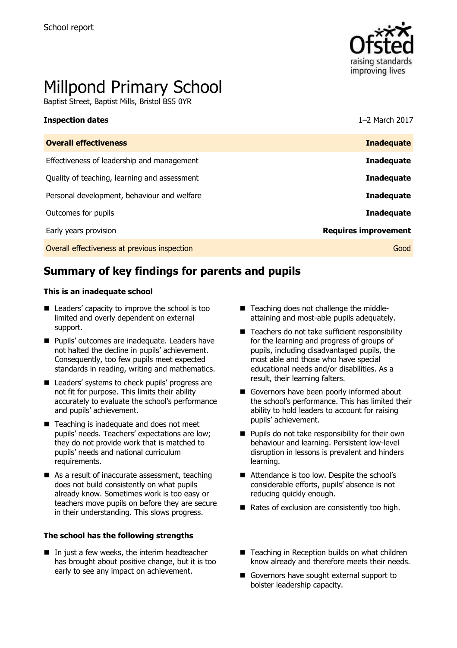

# Millpond Primary School

Baptist Street, Baptist Mills, Bristol BS5 0YR

| <b>Overall effectiveness</b>                 | <b>Inadequate</b>           |
|----------------------------------------------|-----------------------------|
| Effectiveness of leadership and management   | <b>Inadequate</b>           |
| Quality of teaching, learning and assessment | <b>Inadequate</b>           |
| Personal development, behaviour and welfare  | <b>Inadequate</b>           |
| Outcomes for pupils                          | <b>Inadequate</b>           |
| Early years provision                        | <b>Requires improvement</b> |
| Overall effectiveness at previous inspection | Good                        |

**Inspection dates** 1–2 March 2017

# **Summary of key findings for parents and pupils**

#### **This is an inadequate school**

- Leaders' capacity to improve the school is too limited and overly dependent on external support.
- **Pupils' outcomes are inadequate. Leaders have** not halted the decline in pupils' achievement. Consequently, too few pupils meet expected standards in reading, writing and mathematics.
- Leaders' systems to check pupils' progress are not fit for purpose. This limits their ability accurately to evaluate the school's performance and pupils' achievement.
- Teaching is inadequate and does not meet pupils' needs. Teachers' expectations are low; they do not provide work that is matched to pupils' needs and national curriculum requirements.
- As a result of inaccurate assessment, teaching does not build consistently on what pupils already know. Sometimes work is too easy or teachers move pupils on before they are secure in their understanding. This slows progress.

#### **The school has the following strengths**

 $\blacksquare$  In just a few weeks, the interim headteacher has brought about positive change, but it is too early to see any impact on achievement.

- Teaching does not challenge the middleattaining and most-able pupils adequately.
- $\blacksquare$  Teachers do not take sufficient responsibility for the learning and progress of groups of pupils, including disadvantaged pupils, the most able and those who have special educational needs and/or disabilities. As a result, their learning falters.
- Governors have been poorly informed about the school's performance. This has limited their ability to hold leaders to account for raising pupils' achievement.
- $\blacksquare$  Pupils do not take responsibility for their own behaviour and learning. Persistent low-level disruption in lessons is prevalent and hinders learning.
- Attendance is too low. Despite the school's considerable efforts, pupils' absence is not reducing quickly enough.
- Rates of exclusion are consistently too high.
- Teaching in Reception builds on what children know already and therefore meets their needs.
- Governors have sought external support to bolster leadership capacity.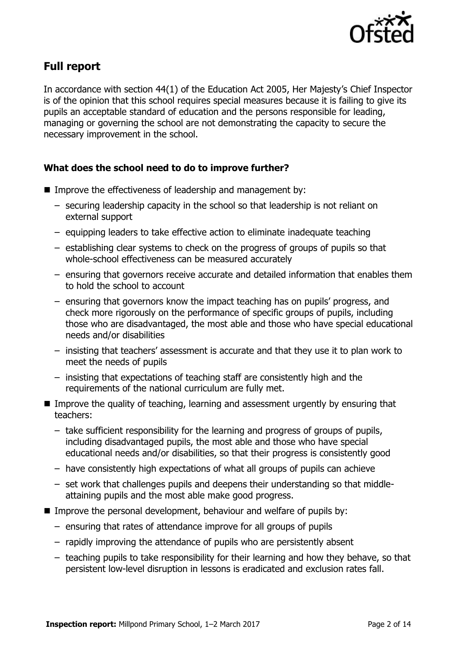

# **Full report**

In accordance with section 44(1) of the Education Act 2005, Her Majesty's Chief Inspector is of the opinion that this school requires special measures because it is failing to give its pupils an acceptable standard of education and the persons responsible for leading, managing or governing the school are not demonstrating the capacity to secure the necessary improvement in the school.

### **What does the school need to do to improve further?**

- Improve the effectiveness of leadership and management by:
	- securing leadership capacity in the school so that leadership is not reliant on external support
	- equipping leaders to take effective action to eliminate inadequate teaching
	- establishing clear systems to check on the progress of groups of pupils so that whole-school effectiveness can be measured accurately
	- ensuring that governors receive accurate and detailed information that enables them to hold the school to account
	- ensuring that governors know the impact teaching has on pupils' progress, and check more rigorously on the performance of specific groups of pupils, including those who are disadvantaged, the most able and those who have special educational needs and/or disabilities
	- insisting that teachers' assessment is accurate and that they use it to plan work to meet the needs of pupils
	- insisting that expectations of teaching staff are consistently high and the requirements of the national curriculum are fully met.
- **IMPROVE the quality of teaching, learning and assessment urgently by ensuring that** teachers:
	- take sufficient responsibility for the learning and progress of groups of pupils, including disadvantaged pupils, the most able and those who have special educational needs and/or disabilities, so that their progress is consistently good
	- have consistently high expectations of what all groups of pupils can achieve
	- set work that challenges pupils and deepens their understanding so that middleattaining pupils and the most able make good progress.
- **IMPROVE THE PERSONAL DEVELOPMENT, behaviour and welfare of pupils by:** 
	- ensuring that rates of attendance improve for all groups of pupils
	- rapidly improving the attendance of pupils who are persistently absent
	- teaching pupils to take responsibility for their learning and how they behave, so that persistent low-level disruption in lessons is eradicated and exclusion rates fall.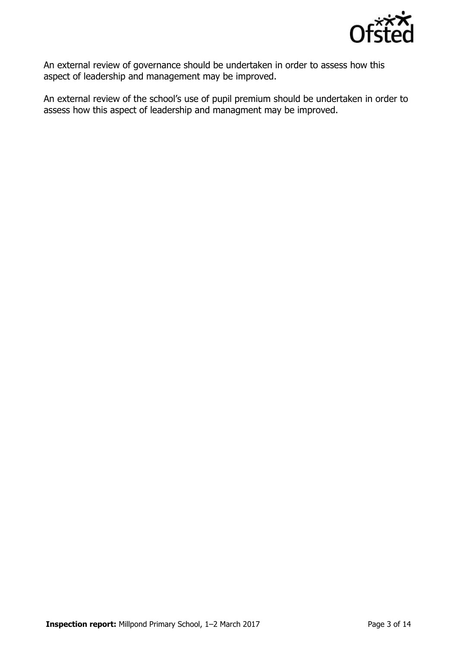

An external review of governance should be undertaken in order to assess how this aspect of leadership and management may be improved.

An external review of the school's use of pupil premium should be undertaken in order to assess how this aspect of leadership and managment may be improved.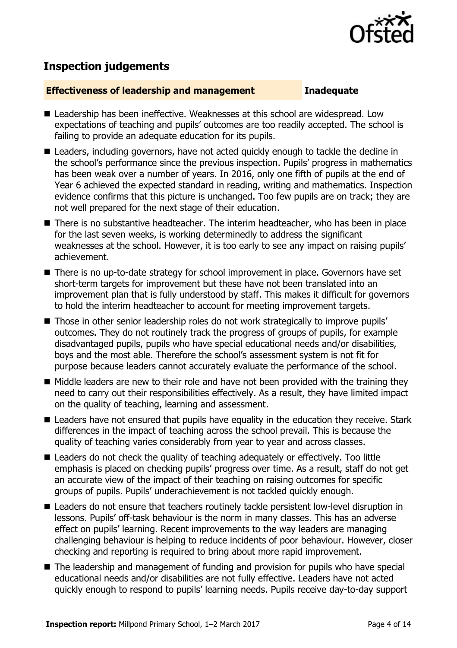

# **Inspection judgements**

#### **Effectiveness of leadership and management Inadequate**

- Leadership has been ineffective. Weaknesses at this school are widespread. Low expectations of teaching and pupils' outcomes are too readily accepted. The school is failing to provide an adequate education for its pupils.
- Leaders, including governors, have not acted quickly enough to tackle the decline in the school's performance since the previous inspection. Pupils' progress in mathematics has been weak over a number of years. In 2016, only one fifth of pupils at the end of Year 6 achieved the expected standard in reading, writing and mathematics. Inspection evidence confirms that this picture is unchanged. Too few pupils are on track; they are not well prepared for the next stage of their education.
- There is no substantive headteacher. The interim headteacher, who has been in place for the last seven weeks, is working determinedly to address the significant weaknesses at the school. However, it is too early to see any impact on raising pupils' achievement.
- There is no up-to-date strategy for school improvement in place. Governors have set short-term targets for improvement but these have not been translated into an improvement plan that is fully understood by staff. This makes it difficult for governors to hold the interim headteacher to account for meeting improvement targets.
- Those in other senior leadership roles do not work strategically to improve pupils' outcomes. They do not routinely track the progress of groups of pupils, for example disadvantaged pupils, pupils who have special educational needs and/or disabilities, boys and the most able. Therefore the school's assessment system is not fit for purpose because leaders cannot accurately evaluate the performance of the school.
- $\blacksquare$  Middle leaders are new to their role and have not been provided with the training they need to carry out their responsibilities effectively. As a result, they have limited impact on the quality of teaching, learning and assessment.
- Leaders have not ensured that pupils have equality in the education they receive. Stark differences in the impact of teaching across the school prevail. This is because the quality of teaching varies considerably from year to year and across classes.
- Leaders do not check the quality of teaching adequately or effectively. Too little emphasis is placed on checking pupils' progress over time. As a result, staff do not get an accurate view of the impact of their teaching on raising outcomes for specific groups of pupils. Pupils' underachievement is not tackled quickly enough.
- Leaders do not ensure that teachers routinely tackle persistent low-level disruption in lessons. Pupils' off-task behaviour is the norm in many classes. This has an adverse effect on pupils' learning. Recent improvements to the way leaders are managing challenging behaviour is helping to reduce incidents of poor behaviour. However, closer checking and reporting is required to bring about more rapid improvement.
- The leadership and management of funding and provision for pupils who have special educational needs and/or disabilities are not fully effective. Leaders have not acted quickly enough to respond to pupils' learning needs. Pupils receive day-to-day support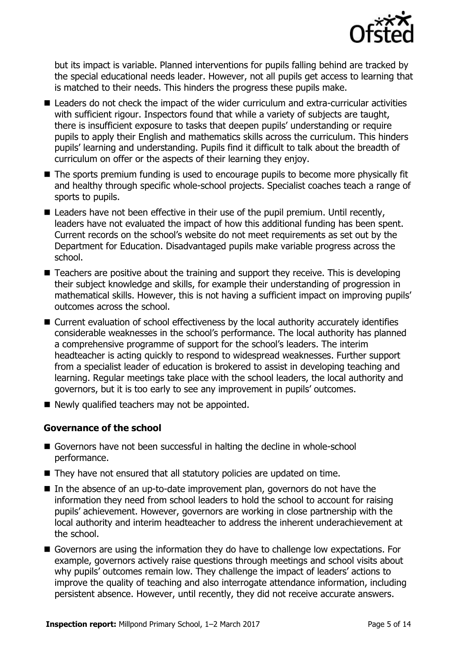

but its impact is variable. Planned interventions for pupils falling behind are tracked by the special educational needs leader. However, not all pupils get access to learning that is matched to their needs. This hinders the progress these pupils make.

- Leaders do not check the impact of the wider curriculum and extra-curricular activities with sufficient rigour. Inspectors found that while a variety of subjects are taught, there is insufficient exposure to tasks that deepen pupils' understanding or require pupils to apply their English and mathematics skills across the curriculum. This hinders pupils' learning and understanding. Pupils find it difficult to talk about the breadth of curriculum on offer or the aspects of their learning they enjoy.
- The sports premium funding is used to encourage pupils to become more physically fit and healthy through specific whole-school projects. Specialist coaches teach a range of sports to pupils.
- Leaders have not been effective in their use of the pupil premium. Until recently, leaders have not evaluated the impact of how this additional funding has been spent. Current records on the school's website do not meet requirements as set out by the Department for Education. Disadvantaged pupils make variable progress across the school.
- Teachers are positive about the training and support they receive. This is developing their subject knowledge and skills, for example their understanding of progression in mathematical skills. However, this is not having a sufficient impact on improving pupils' outcomes across the school.
- Current evaluation of school effectiveness by the local authority accurately identifies considerable weaknesses in the school's performance. The local authority has planned a comprehensive programme of support for the school's leaders. The interim headteacher is acting quickly to respond to widespread weaknesses. Further support from a specialist leader of education is brokered to assist in developing teaching and learning. Regular meetings take place with the school leaders, the local authority and governors, but it is too early to see any improvement in pupils' outcomes.
- $\blacksquare$  Newly qualified teachers may not be appointed.

### **Governance of the school**

- Governors have not been successful in halting the decline in whole-school performance.
- They have not ensured that all statutory policies are updated on time.
- $\blacksquare$  In the absence of an up-to-date improvement plan, governors do not have the information they need from school leaders to hold the school to account for raising pupils' achievement. However, governors are working in close partnership with the local authority and interim headteacher to address the inherent underachievement at the school.
- Governors are using the information they do have to challenge low expectations. For example, governors actively raise questions through meetings and school visits about why pupils' outcomes remain low. They challenge the impact of leaders' actions to improve the quality of teaching and also interrogate attendance information, including persistent absence. However, until recently, they did not receive accurate answers.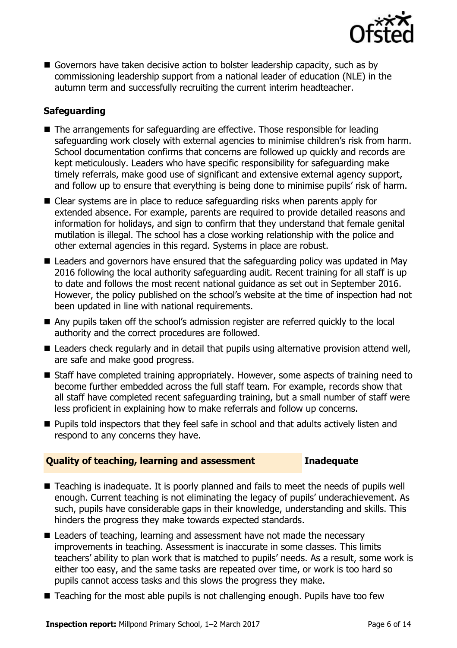

Governors have taken decisive action to bolster leadership capacity, such as by commissioning leadership support from a national leader of education (NLE) in the autumn term and successfully recruiting the current interim headteacher.

### **Safeguarding**

- The arrangements for safeguarding are effective. Those responsible for leading safeguarding work closely with external agencies to minimise children's risk from harm. School documentation confirms that concerns are followed up quickly and records are kept meticulously. Leaders who have specific responsibility for safeguarding make timely referrals, make good use of significant and extensive external agency support, and follow up to ensure that everything is being done to minimise pupils' risk of harm.
- Clear systems are in place to reduce safeguarding risks when parents apply for extended absence. For example, parents are required to provide detailed reasons and information for holidays, and sign to confirm that they understand that female genital mutilation is illegal. The school has a close working relationship with the police and other external agencies in this regard. Systems in place are robust.
- Leaders and governors have ensured that the safeguarding policy was updated in May 2016 following the local authority safeguarding audit. Recent training for all staff is up to date and follows the most recent national guidance as set out in September 2016. However, the policy published on the school's website at the time of inspection had not been updated in line with national requirements.
- Any pupils taken off the school's admission register are referred quickly to the local authority and the correct procedures are followed.
- Leaders check regularly and in detail that pupils using alternative provision attend well, are safe and make good progress.
- Staff have completed training appropriately. However, some aspects of training need to become further embedded across the full staff team. For example, records show that all staff have completed recent safeguarding training, but a small number of staff were less proficient in explaining how to make referrals and follow up concerns.
- **Pupils told inspectors that they feel safe in school and that adults actively listen and** respond to any concerns they have.

#### **Quality of teaching, learning and assessment Inadequate**

- Teaching is inadequate. It is poorly planned and fails to meet the needs of pupils well enough. Current teaching is not eliminating the legacy of pupils' underachievement. As such, pupils have considerable gaps in their knowledge, understanding and skills. This hinders the progress they make towards expected standards.
- Leaders of teaching, learning and assessment have not made the necessary improvements in teaching. Assessment is inaccurate in some classes. This limits teachers' ability to plan work that is matched to pupils' needs. As a result, some work is either too easy, and the same tasks are repeated over time, or work is too hard so pupils cannot access tasks and this slows the progress they make.
- Teaching for the most able pupils is not challenging enough. Pupils have too few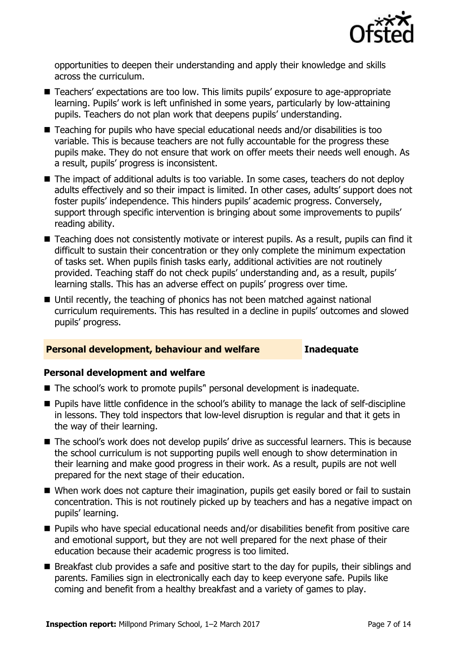

opportunities to deepen their understanding and apply their knowledge and skills across the curriculum.

- Teachers' expectations are too low. This limits pupils' exposure to age-appropriate learning. Pupils' work is left unfinished in some years, particularly by low-attaining pupils. Teachers do not plan work that deepens pupils' understanding.
- Teaching for pupils who have special educational needs and/or disabilities is too variable. This is because teachers are not fully accountable for the progress these pupils make. They do not ensure that work on offer meets their needs well enough. As a result, pupils' progress is inconsistent.
- The impact of additional adults is too variable. In some cases, teachers do not deploy adults effectively and so their impact is limited. In other cases, adults' support does not foster pupils' independence. This hinders pupils' academic progress. Conversely, support through specific intervention is bringing about some improvements to pupils' reading ability.
- Teaching does not consistently motivate or interest pupils. As a result, pupils can find it difficult to sustain their concentration or they only complete the minimum expectation of tasks set. When pupils finish tasks early, additional activities are not routinely provided. Teaching staff do not check pupils' understanding and, as a result, pupils' learning stalls. This has an adverse effect on pupils' progress over time.
- Until recently, the teaching of phonics has not been matched against national curriculum requirements. This has resulted in a decline in pupils' outcomes and slowed pupils' progress.

#### **Personal development, behaviour and welfare Inadequate**

#### **Personal development and welfare**

- The school's work to promote pupils<sup>"</sup> personal development is inadequate.
- **Pupils have little confidence in the school's ability to manage the lack of self-discipline** in lessons. They told inspectors that low-level disruption is regular and that it gets in the way of their learning.
- The school's work does not develop pupils' drive as successful learners. This is because the school curriculum is not supporting pupils well enough to show determination in their learning and make good progress in their work. As a result, pupils are not well prepared for the next stage of their education.
- When work does not capture their imagination, pupils get easily bored or fail to sustain concentration. This is not routinely picked up by teachers and has a negative impact on pupils' learning.
- Pupils who have special educational needs and/or disabilities benefit from positive care and emotional support, but they are not well prepared for the next phase of their education because their academic progress is too limited.
- Breakfast club provides a safe and positive start to the day for pupils, their siblings and parents. Families sign in electronically each day to keep everyone safe. Pupils like coming and benefit from a healthy breakfast and a variety of games to play.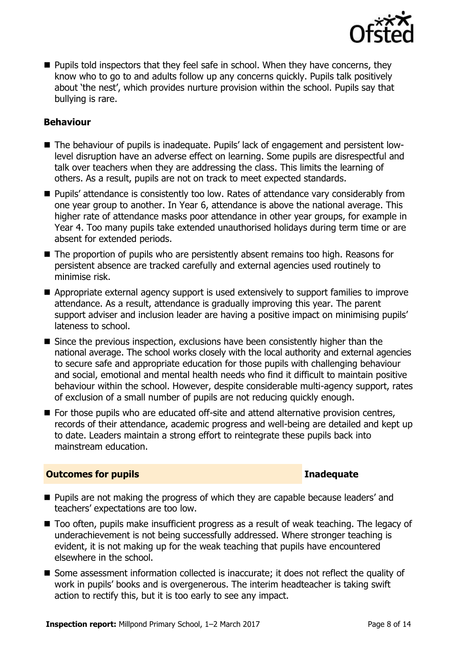

**Pupils told inspectors that they feel safe in school. When they have concerns, they** know who to go to and adults follow up any concerns quickly. Pupils talk positively about 'the nest', which provides nurture provision within the school. Pupils say that bullying is rare.

### **Behaviour**

- The behaviour of pupils is inadequate. Pupils' lack of engagement and persistent lowlevel disruption have an adverse effect on learning. Some pupils are disrespectful and talk over teachers when they are addressing the class. This limits the learning of others. As a result, pupils are not on track to meet expected standards.
- **Pupils' attendance is consistently too low. Rates of attendance vary considerably from** one year group to another. In Year 6, attendance is above the national average. This higher rate of attendance masks poor attendance in other year groups, for example in Year 4. Too many pupils take extended unauthorised holidays during term time or are absent for extended periods.
- The proportion of pupils who are persistently absent remains too high. Reasons for persistent absence are tracked carefully and external agencies used routinely to minimise risk.
- Appropriate external agency support is used extensively to support families to improve attendance. As a result, attendance is gradually improving this year. The parent support adviser and inclusion leader are having a positive impact on minimising pupils' lateness to school.
- Since the previous inspection, exclusions have been consistently higher than the national average. The school works closely with the local authority and external agencies to secure safe and appropriate education for those pupils with challenging behaviour and social, emotional and mental health needs who find it difficult to maintain positive behaviour within the school. However, despite considerable multi-agency support, rates of exclusion of a small number of pupils are not reducing quickly enough.
- For those pupils who are educated off-site and attend alternative provision centres, records of their attendance, academic progress and well-being are detailed and kept up to date. Leaders maintain a strong effort to reintegrate these pupils back into mainstream education.

### **Outcomes for pupils Inadequate**

- **Pupils are not making the progress of which they are capable because leaders' and** teachers' expectations are too low.
- Too often, pupils make insufficient progress as a result of weak teaching. The legacy of underachievement is not being successfully addressed. Where stronger teaching is evident, it is not making up for the weak teaching that pupils have encountered elsewhere in the school.
- Some assessment information collected is inaccurate; it does not reflect the quality of work in pupils' books and is overgenerous. The interim headteacher is taking swift action to rectify this, but it is too early to see any impact.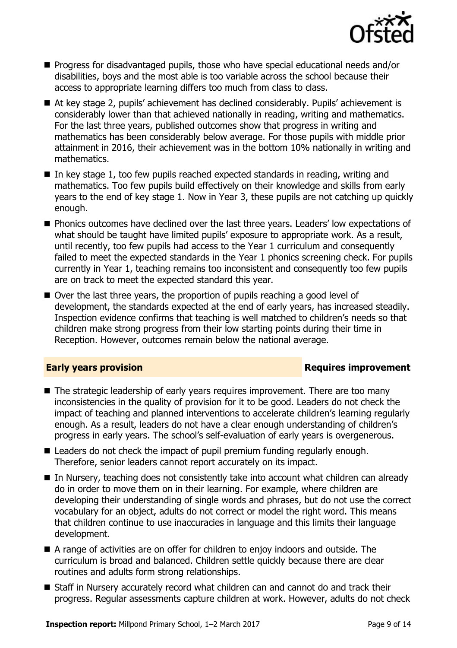

- Progress for disadvantaged pupils, those who have special educational needs and/or disabilities, boys and the most able is too variable across the school because their access to appropriate learning differs too much from class to class.
- At key stage 2, pupils' achievement has declined considerably. Pupils' achievement is considerably lower than that achieved nationally in reading, writing and mathematics. For the last three years, published outcomes show that progress in writing and mathematics has been considerably below average. For those pupils with middle prior attainment in 2016, their achievement was in the bottom 10% nationally in writing and mathematics.
- In key stage 1, too few pupils reached expected standards in reading, writing and mathematics. Too few pupils build effectively on their knowledge and skills from early years to the end of key stage 1. Now in Year 3, these pupils are not catching up quickly enough.
- **Phonics outcomes have declined over the last three years. Leaders' low expectations of** what should be taught have limited pupils' exposure to appropriate work. As a result, until recently, too few pupils had access to the Year 1 curriculum and consequently failed to meet the expected standards in the Year 1 phonics screening check. For pupils currently in Year 1, teaching remains too inconsistent and consequently too few pupils are on track to meet the expected standard this year.
- Over the last three years, the proportion of pupils reaching a good level of development, the standards expected at the end of early years, has increased steadily. Inspection evidence confirms that teaching is well matched to children's needs so that children make strong progress from their low starting points during their time in Reception. However, outcomes remain below the national average.

### **Early years provision**

- The strategic leadership of early years requires improvement. There are too many inconsistencies in the quality of provision for it to be good. Leaders do not check the impact of teaching and planned interventions to accelerate children's learning regularly enough. As a result, leaders do not have a clear enough understanding of children's progress in early years. The school's self-evaluation of early years is overgenerous.
- Leaders do not check the impact of pupil premium funding regularly enough. Therefore, senior leaders cannot report accurately on its impact.
- In Nursery, teaching does not consistently take into account what children can already do in order to move them on in their learning. For example, where children are developing their understanding of single words and phrases, but do not use the correct vocabulary for an object, adults do not correct or model the right word. This means that children continue to use inaccuracies in language and this limits their language development.
- A range of activities are on offer for children to enjoy indoors and outside. The curriculum is broad and balanced. Children settle quickly because there are clear routines and adults form strong relationships.
- Staff in Nursery accurately record what children can and cannot do and track their progress. Regular assessments capture children at work. However, adults do not check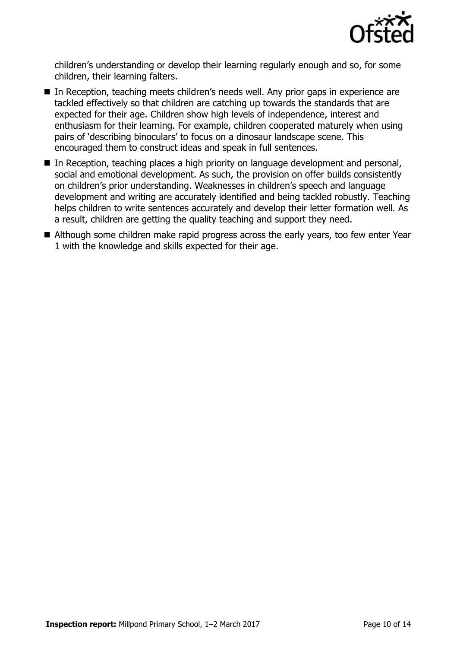

children's understanding or develop their learning regularly enough and so, for some children, their learning falters.

- In Reception, teaching meets children's needs well. Any prior gaps in experience are tackled effectively so that children are catching up towards the standards that are expected for their age. Children show high levels of independence, interest and enthusiasm for their learning. For example, children cooperated maturely when using pairs of 'describing binoculars' to focus on a dinosaur landscape scene. This encouraged them to construct ideas and speak in full sentences.
- In Reception, teaching places a high priority on language development and personal, social and emotional development. As such, the provision on offer builds consistently on children's prior understanding. Weaknesses in children's speech and language development and writing are accurately identified and being tackled robustly. Teaching helps children to write sentences accurately and develop their letter formation well. As a result, children are getting the quality teaching and support they need.
- Although some children make rapid progress across the early years, too few enter Year 1 with the knowledge and skills expected for their age.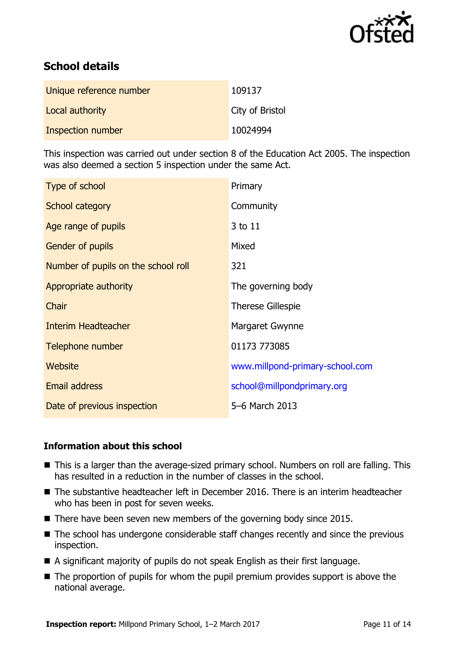

# **School details**

| Unique reference number | 109137          |
|-------------------------|-----------------|
| Local authority         | City of Bristol |
| Inspection number       | 10024994        |

This inspection was carried out under section 8 of the Education Act 2005. The inspection was also deemed a section 5 inspection under the same Act.

| Type of school                      | Primary                         |
|-------------------------------------|---------------------------------|
| School category                     | Community                       |
| Age range of pupils                 | 3 to 11                         |
| Gender of pupils                    | Mixed                           |
| Number of pupils on the school roll | 321                             |
| Appropriate authority               | The governing body              |
| Chair                               | <b>Therese Gillespie</b>        |
| <b>Interim Headteacher</b>          | Margaret Gwynne                 |
| Telephone number                    | 01173 773085                    |
| Website                             | www.millpond-primary-school.com |
| Email address                       | school@millpondprimary.org      |
| Date of previous inspection         | 5-6 March 2013                  |

### **Information about this school**

- This is a larger than the average-sized primary school. Numbers on roll are falling. This has resulted in a reduction in the number of classes in the school.
- The substantive headteacher left in December 2016. There is an interim headteacher who has been in post for seven weeks.
- $\blacksquare$  There have been seven new members of the governing body since 2015.
- The school has undergone considerable staff changes recently and since the previous inspection.
- A significant majority of pupils do not speak English as their first language.
- $\blacksquare$  The proportion of pupils for whom the pupil premium provides support is above the national average.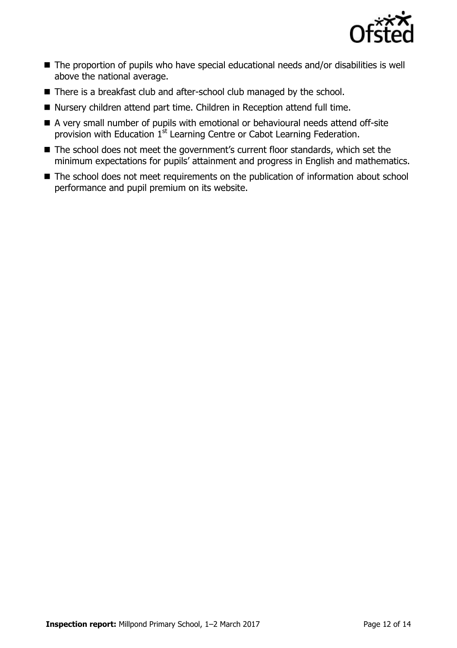

- The proportion of pupils who have special educational needs and/or disabilities is well above the national average.
- There is a breakfast club and after-school club managed by the school.
- Nursery children attend part time. Children in Reception attend full time.
- A very small number of pupils with emotional or behavioural needs attend off-site provision with Education 1<sup>st</sup> Learning Centre or Cabot Learning Federation.
- The school does not meet the government's current floor standards, which set the minimum expectations for pupils' attainment and progress in English and mathematics.
- The school does not meet requirements on the publication of information about school performance and pupil premium on its website.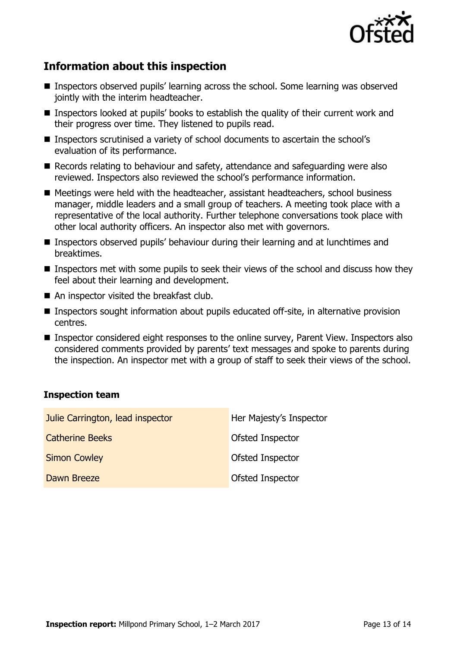

# **Information about this inspection**

- Inspectors observed pupils' learning across the school. Some learning was observed jointly with the interim headteacher.
- Inspectors looked at pupils' books to establish the quality of their current work and their progress over time. They listened to pupils read.
- Inspectors scrutinised a variety of school documents to ascertain the school's evaluation of its performance.
- Records relating to behaviour and safety, attendance and safeguarding were also reviewed. Inspectors also reviewed the school's performance information.
- Meetings were held with the headteacher, assistant headteachers, school business manager, middle leaders and a small group of teachers. A meeting took place with a representative of the local authority. Further telephone conversations took place with other local authority officers. An inspector also met with governors.
- **Inspectors observed pupils' behaviour during their learning and at lunchtimes and** breaktimes.
- **Inspectors met with some pupils to seek their views of the school and discuss how they** feel about their learning and development.
- An inspector visited the breakfast club.
- Inspectors sought information about pupils educated off-site, in alternative provision centres.
- Inspector considered eight responses to the online survey, Parent View. Inspectors also considered comments provided by parents' text messages and spoke to parents during the inspection. An inspector met with a group of staff to seek their views of the school.

#### **Inspection team**

| Julie Carrington, lead inspector | Her Majesty's Inspector |
|----------------------------------|-------------------------|
| <b>Catherine Beeks</b>           | <b>Ofsted Inspector</b> |
| <b>Simon Cowley</b>              | <b>Ofsted Inspector</b> |
| Dawn Breeze                      | Ofsted Inspector        |